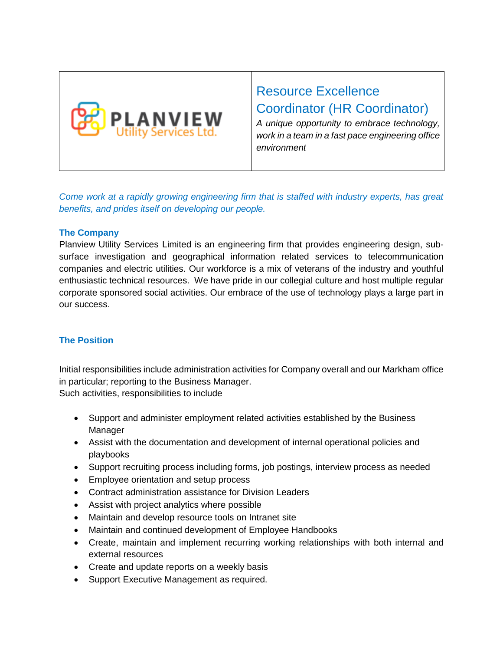

# Resource Excellence Coordinator (HR Coordinator)

*A unique opportunity to embrace technology, work in a team in a fast pace engineering office environment* 

*Come work at a rapidly growing engineering firm that is staffed with industry experts, has great benefits, and prides itself on developing our people.* 

## **The Company**

Planview Utility Services Limited is an engineering firm that provides engineering design, subsurface investigation and geographical information related services to telecommunication companies and electric utilities. Our workforce is a mix of veterans of the industry and youthful enthusiastic technical resources. We have pride in our collegial culture and host multiple regular corporate sponsored social activities. Our embrace of the use of technology plays a large part in our success.

# **The Position**

Initial responsibilities include administration activities for Company overall and our Markham office in particular; reporting to the Business Manager.

Such activities, responsibilities to include

- Support and administer employment related activities established by the Business Manager
- Assist with the documentation and development of internal operational policies and playbooks
- Support recruiting process including forms, job postings, interview process as needed
- Employee orientation and setup process
- Contract administration assistance for Division Leaders
- Assist with project analytics where possible
- Maintain and develop resource tools on Intranet site
- Maintain and continued development of Employee Handbooks
- Create, maintain and implement recurring working relationships with both internal and external resources
- Create and update reports on a weekly basis
- Support Executive Management as required.